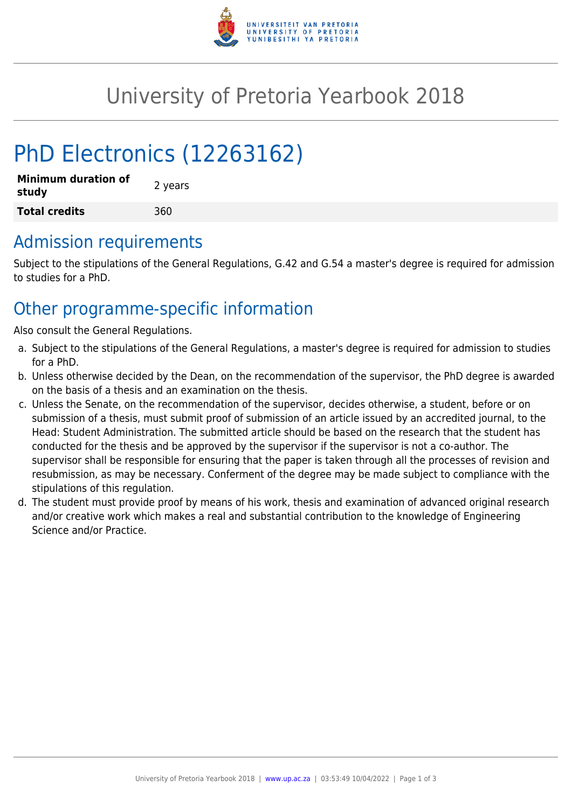

# University of Pretoria Yearbook 2018

# PhD Electronics (12263162)

| <b>Minimum duration of</b><br>study | 2 years |
|-------------------------------------|---------|
| <b>Total credits</b>                | 360     |

## Admission requirements

Subject to the stipulations of the General Regulations, G.42 and G.54 a master's degree is required for admission to studies for a PhD.

## Other programme-specific information

Also consult the General Regulations.

- a. Subject to the stipulations of the General Regulations, a master's degree is required for admission to studies for a PhD.
- b. Unless otherwise decided by the Dean, on the recommendation of the supervisor, the PhD degree is awarded on the basis of a thesis and an examination on the thesis.
- c. Unless the Senate, on the recommendation of the supervisor, decides otherwise, a student, before or on submission of a thesis, must submit proof of submission of an article issued by an accredited journal, to the Head: Student Administration. The submitted article should be based on the research that the student has conducted for the thesis and be approved by the supervisor if the supervisor is not a co-author. The supervisor shall be responsible for ensuring that the paper is taken through all the processes of revision and resubmission, as may be necessary. Conferment of the degree may be made subject to compliance with the stipulations of this regulation.
- d. The student must provide proof by means of his work, thesis and examination of advanced original research and/or creative work which makes a real and substantial contribution to the knowledge of Engineering Science and/or Practice.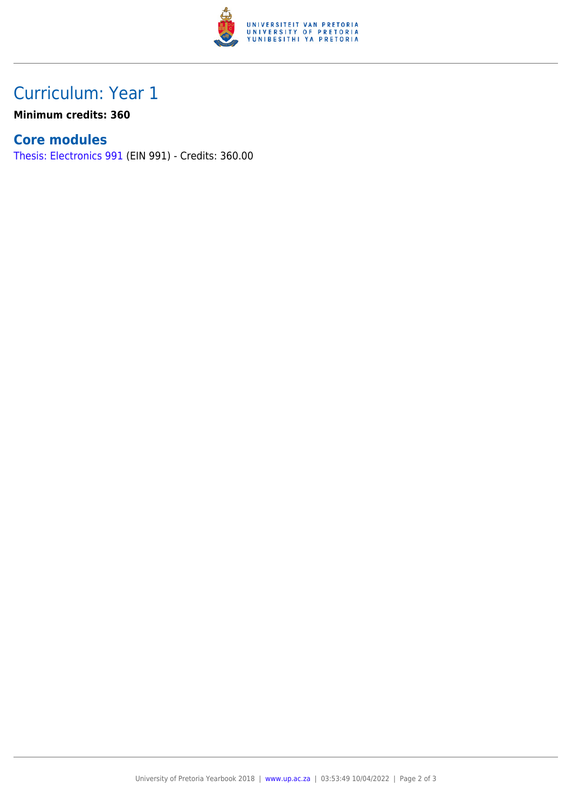

# Curriculum: Year 1

**Minimum credits: 360**

### **Core modules**

[Thesis: Electronics 991](https://www.up.ac.za/faculty-of-education/yearbooks/2018/modules/view/EIN 991) (EIN 991) - Credits: 360.00